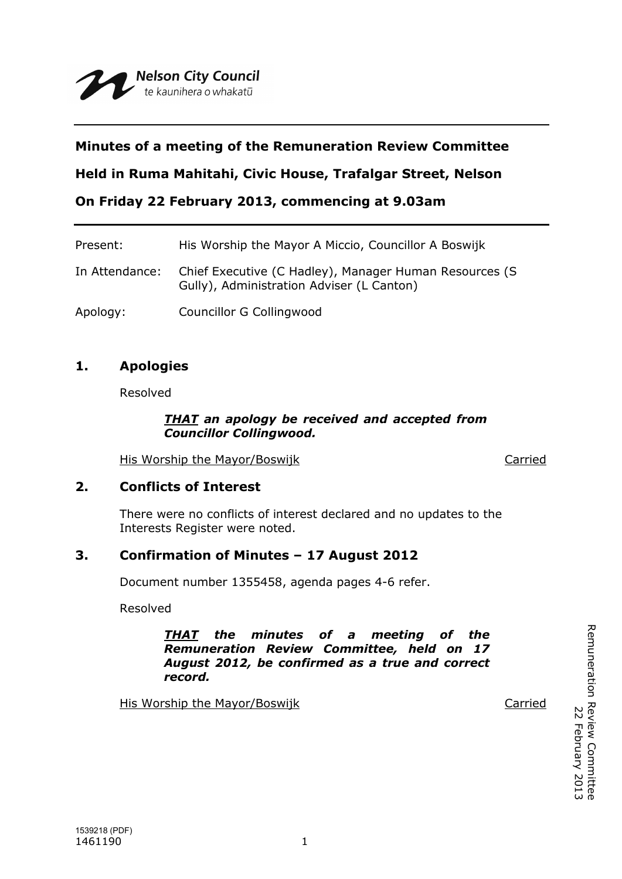# **Minutes of a meeting of the Remuneration Review Committee**

**Held in Ruma Mahitahi, Civic House, Trafalgar Street, Nelson**

**On Friday 22 February 2013, commencing at 9.03am**

| Present:       | His Worship the Mayor A Miccio, Councillor A Boswijk                                                |
|----------------|-----------------------------------------------------------------------------------------------------|
| In Attendance: | Chief Executive (C Hadley), Manager Human Resources (S<br>Gully), Administration Adviser (L Canton) |
| Apology:       | Councillor G Collingwood                                                                            |

# **1. Apologies**

Resolved

#### *THAT an apology be received and accepted from Councillor Collingwood.*

His Worship the Mayor/Boswijk Carried

### **2. Conflicts of Interest**

There were no conflicts of interest declared and no updates to the Interests Register were noted.

### **3. Confirmation of Minutes – 17 August 2012**

Document number 1355458, agenda pages 4-6 refer.

Resolved

*THAT the minutes of a meeting of the Remuneration Review Committee, held on 17 August 2012, be confirmed as a true and correct record.*

His Worship the Mayor/Boswijk Carried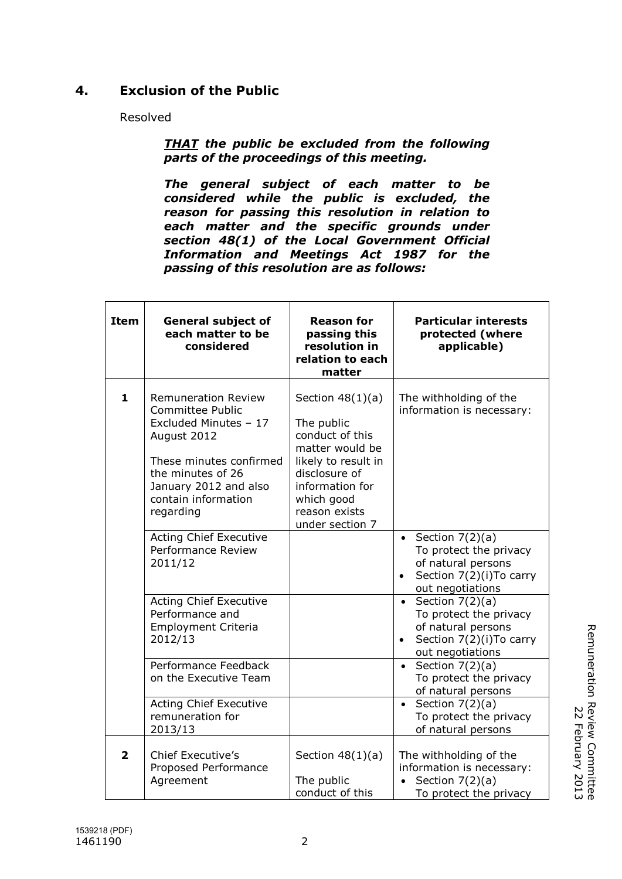# **4. Exclusion of the Public**

Resolved

*THAT the public be excluded from the following parts of the proceedings of this meeting.*

*The general subject of each matter to be considered while the public is excluded, the reason for passing this resolution in relation to each matter and the specific grounds under section 48(1) of the Local Government Official Information and Meetings Act 1987 for the passing of this resolution are as follows:*

| <b>Item</b>             | <b>General subject of</b><br>each matter to be<br>considered                                                                                                                                               | <b>Reason for</b><br>passing this<br>resolution in<br>relation to each<br>matter                                                                                                    | <b>Particular interests</b><br>protected (where<br>applicable)                                                                              |
|-------------------------|------------------------------------------------------------------------------------------------------------------------------------------------------------------------------------------------------------|-------------------------------------------------------------------------------------------------------------------------------------------------------------------------------------|---------------------------------------------------------------------------------------------------------------------------------------------|
| $\mathbf{1}$            | <b>Remuneration Review</b><br><b>Committee Public</b><br>Excluded Minutes - 17<br>August 2012<br>These minutes confirmed<br>the minutes of 26<br>January 2012 and also<br>contain information<br>regarding | Section $48(1)(a)$<br>The public<br>conduct of this<br>matter would be<br>likely to result in<br>disclosure of<br>information for<br>which good<br>reason exists<br>under section 7 | The withholding of the<br>information is necessary:                                                                                         |
|                         | <b>Acting Chief Executive</b><br>Performance Review<br>2011/12                                                                                                                                             |                                                                                                                                                                                     | Section $7(2)(a)$<br>$\bullet$<br>To protect the privacy<br>of natural persons<br>Section 7(2)(i) To carry<br>$\bullet$<br>out negotiations |
|                         | <b>Acting Chief Executive</b><br>Performance and<br><b>Employment Criteria</b><br>2012/13                                                                                                                  |                                                                                                                                                                                     | Section $7(2)(a)$<br>$\bullet$<br>To protect the privacy<br>of natural persons<br>Section 7(2)(i) To carry<br>$\bullet$<br>out negotiations |
|                         | Performance Feedback<br>on the Executive Team                                                                                                                                                              |                                                                                                                                                                                     | Section $7(2)(a)$<br>$\bullet$<br>To protect the privacy<br>of natural persons                                                              |
|                         | <b>Acting Chief Executive</b><br>remuneration for<br>2013/13                                                                                                                                               |                                                                                                                                                                                     | Section $7(2)(a)$<br>$\bullet$<br>To protect the privacy<br>of natural persons                                                              |
| $\overline{\mathbf{2}}$ | <b>Chief Executive's</b><br>Proposed Performance<br>Agreement                                                                                                                                              | Section $48(1)(a)$<br>The public<br>conduct of this                                                                                                                                 | The withholding of the<br>information is necessary:<br>Section $7(2)(a)$<br>To protect the privacy                                          |